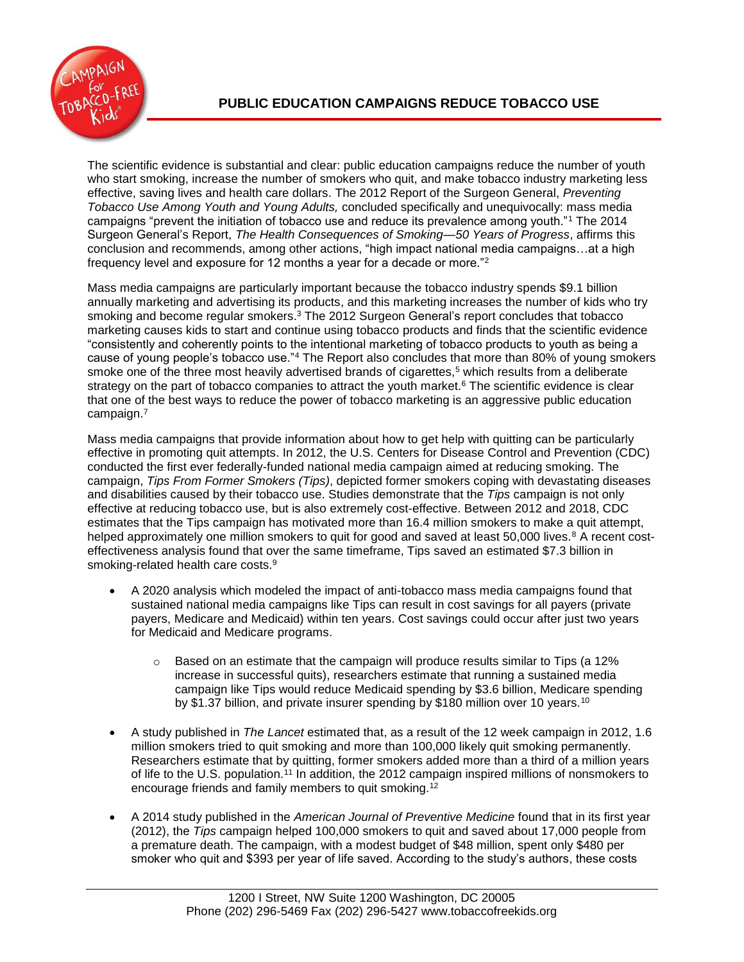

The scientific evidence is substantial and clear: public education campaigns reduce the number of youth who start smoking, increase the number of smokers who quit, and make tobacco industry marketing less effective, saving lives and health care dollars. The 2012 Report of the Surgeon General, *Preventing Tobacco Use Among Youth and Young Adults,* concluded specifically and unequivocally: mass media campaigns "prevent the initiation of tobacco use and reduce its prevalence among youth."<sup>1</sup> The 2014 Surgeon General's Report, *The Health Consequences of Smoking—50 Years of Progress*, affirms this conclusion and recommends, among other actions, "high impact national media campaigns…at a high frequency level and exposure for 12 months a year for a decade or more."<sup>2</sup>

Mass media campaigns are particularly important because the tobacco industry spends \$9.1 billion annually marketing and advertising its products, and this marketing increases the number of kids who try smoking and become regular smokers. <sup>3</sup> The 2012 Surgeon General's report concludes that tobacco marketing causes kids to start and continue using tobacco products and finds that the scientific evidence "consistently and coherently points to the intentional marketing of tobacco products to youth as being a cause of young people's tobacco use."<sup>4</sup> The Report also concludes that more than 80% of young smokers smoke one of the three most heavily advertised brands of cigarettes,<sup>5</sup> which results from a deliberate strategy on the part of tobacco companies to attract the youth market.<sup>6</sup> The scientific evidence is clear that one of the best ways to reduce the power of tobacco marketing is an aggressive public education campaign. 7

Mass media campaigns that provide information about how to get help with quitting can be particularly effective in promoting quit attempts. In 2012, the U.S. Centers for Disease Control and Prevention (CDC) conducted the first ever federally-funded national media campaign aimed at reducing smoking. The campaign, *Tips From Former Smokers (Tips)*, depicted former smokers coping with devastating diseases and disabilities caused by their tobacco use. Studies demonstrate that the *Tips* campaign is not only effective at reducing tobacco use, but is also extremely cost-effective. Between 2012 and 2018, CDC estimates that the Tips campaign has motivated more than 16.4 million smokers to make a quit attempt, helped approximately one million smokers to quit for good and saved at least 50,000 lives.<sup>8</sup> A recent costeffectiveness analysis found that over the same timeframe, Tips saved an estimated \$7.3 billion in smoking-related health care costs.<sup>9</sup>

- A 2020 analysis which modeled the impact of anti-tobacco mass media campaigns found that sustained national media campaigns like Tips can result in cost savings for all payers (private payers, Medicare and Medicaid) within ten years. Cost savings could occur after just two years for Medicaid and Medicare programs.
	- $\circ$  Based on an estimate that the campaign will produce results similar to Tips (a 12% increase in successful quits), researchers estimate that running a sustained media campaign like Tips would reduce Medicaid spending by \$3.6 billion, Medicare spending by \$1.37 billion, and private insurer spending by \$180 million over 10 years.<sup>10</sup>
- A study published in *The Lancet* estimated that, as a result of the 12 week campaign in 2012, 1.6 million smokers tried to quit smoking and more than 100,000 likely quit smoking permanently. Researchers estimate that by quitting, former smokers added more than a third of a million years of life to the U.S. population.<sup>11</sup> In addition, the 2012 campaign inspired millions of nonsmokers to encourage friends and family members to quit smoking.<sup>12</sup>
- A 2014 study published in the *American Journal of Preventive Medicine* found that in its first year (2012), the *Tips* campaign helped 100,000 smokers to quit and saved about 17,000 people from a premature death. The campaign, with a modest budget of \$48 million, spent only \$480 per smoker who quit and \$393 per year of life saved. According to the study's authors, these costs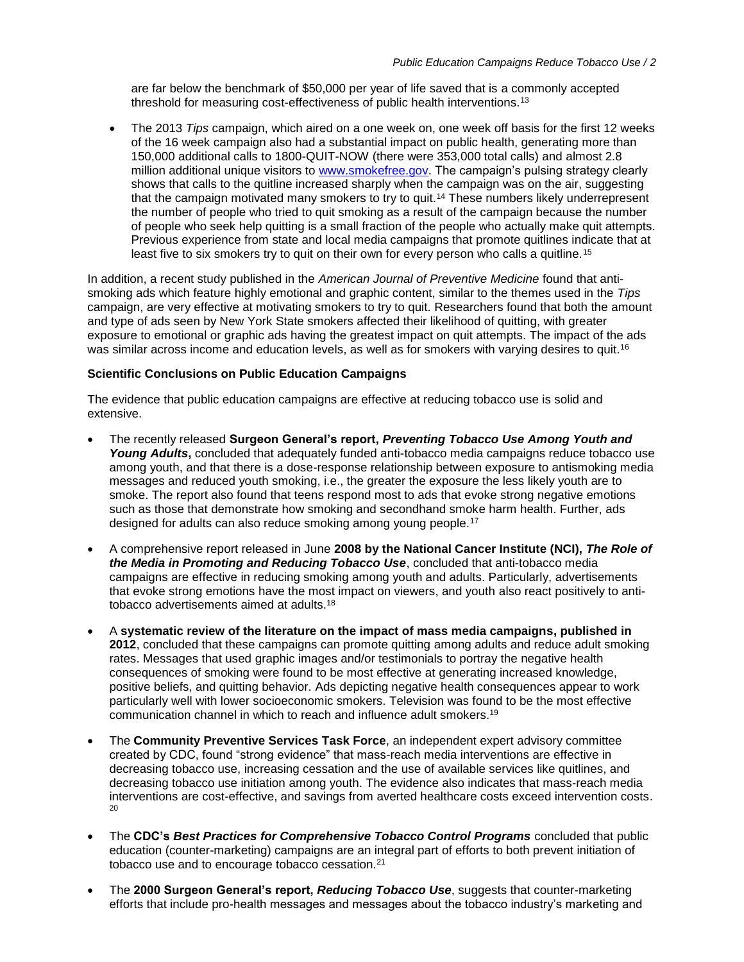are far below the benchmark of \$50,000 per year of life saved that is a commonly accepted threshold for measuring cost-effectiveness of public health interventions.<sup>13</sup>

 The 2013 *Tips* campaign, which aired on a one week on, one week off basis for the first 12 weeks of the 16 week campaign also had a substantial impact on public health, generating more than 150,000 additional calls to 1800-QUIT-NOW (there were 353,000 total calls) and almost 2.8 million additional unique visitors to [www.smokefree.gov.](http://www.smokefree.gov/) The campaign's pulsing strategy clearly shows that calls to the quitline increased sharply when the campaign was on the air, suggesting that the campaign motivated many smokers to try to quit.<sup>14</sup> These numbers likely underrepresent the number of people who tried to quit smoking as a result of the campaign because the number of people who seek help quitting is a small fraction of the people who actually make quit attempts. Previous experience from state and local media campaigns that promote quitlines indicate that at least five to six smokers try to quit on their own for every person who calls a quitline.<sup>15</sup>

In addition, a recent study published in the *American Journal of Preventive Medicine* found that antismoking ads which feature highly emotional and graphic content, similar to the themes used in the *Tips* campaign, are very effective at motivating smokers to try to quit. Researchers found that both the amount and type of ads seen by New York State smokers affected their likelihood of quitting, with greater exposure to emotional or graphic ads having the greatest impact on quit attempts. The impact of the ads was similar across income and education levels, as well as for smokers with varying desires to quit.<sup>16</sup>

## **Scientific Conclusions on Public Education Campaigns**

The evidence that public education campaigns are effective at reducing tobacco use is solid and extensive.

- The recently released **Surgeon General's report,** *Preventing Tobacco Use Among Youth and*  Young Adults, concluded that adequately funded anti-tobacco media campaigns reduce tobacco use among youth, and that there is a dose-response relationship between exposure to antismoking media messages and reduced youth smoking, i.e., the greater the exposure the less likely youth are to smoke. The report also found that teens respond most to ads that evoke strong negative emotions such as those that demonstrate how smoking and secondhand smoke harm health. Further, ads designed for adults can also reduce smoking among young people.<sup>17</sup>
- A comprehensive report released in June **2008 by the National Cancer Institute (NCI),** *The Role of the Media in Promoting and Reducing Tobacco Use*, concluded that anti-tobacco media campaigns are effective in reducing smoking among youth and adults. Particularly, advertisements that evoke strong emotions have the most impact on viewers, and youth also react positively to antitobacco advertisements aimed at adults.<sup>18</sup>
- A **systematic review of the literature on the impact of mass media campaigns, published in 2012**, concluded that these campaigns can promote quitting among adults and reduce adult smoking rates. Messages that used graphic images and/or testimonials to portray the negative health consequences of smoking were found to be most effective at generating increased knowledge, positive beliefs, and quitting behavior. Ads depicting negative health consequences appear to work particularly well with lower socioeconomic smokers. Television was found to be the most effective communication channel in which to reach and influence adult smokers.<sup>19</sup>
- The **Community Preventive Services Task Force**, an independent expert advisory committee created by CDC, found "strong evidence" that mass-reach media interventions are effective in decreasing tobacco use, increasing cessation and the use of available services like quitlines, and decreasing tobacco use initiation among youth. The evidence also indicates that mass-reach media interventions are cost-effective, and savings from averted healthcare costs exceed intervention costs.  $20<sup>2</sup>$
- The **CDC's** *Best Practices for Comprehensive Tobacco Control Programs* concluded that public education (counter-marketing) campaigns are an integral part of efforts to both prevent initiation of tobacco use and to encourage tobacco cessation.<sup>21</sup>
- The **2000 Surgeon General's report,** *Reducing Tobacco Use*, suggests that counter-marketing efforts that include pro-health messages and messages about the tobacco industry's marketing and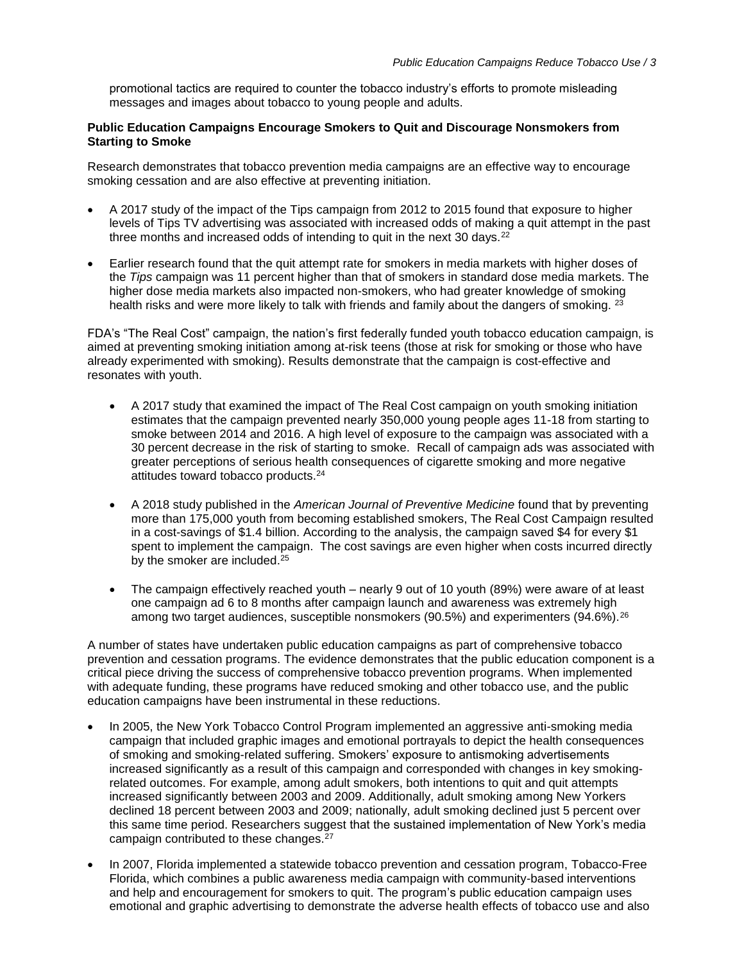promotional tactics are required to counter the tobacco industry's efforts to promote misleading messages and images about tobacco to young people and adults.

## **Public Education Campaigns Encourage Smokers to Quit and Discourage Nonsmokers from Starting to Smoke**

Research demonstrates that tobacco prevention media campaigns are an effective way to encourage smoking cessation and are also effective at preventing initiation.

- A 2017 study of the impact of the Tips campaign from 2012 to 2015 found that exposure to higher levels of Tips TV advertising was associated with increased odds of making a quit attempt in the past three months and increased odds of intending to quit in the next 30 days. $^{22}$
- Earlier research found that the quit attempt rate for smokers in media markets with higher doses of the *Tips* campaign was 11 percent higher than that of smokers in standard dose media markets. The higher dose media markets also impacted non-smokers, who had greater knowledge of smoking health risks and were more likely to talk with friends and family about the dangers of smoking. <sup>23</sup>

FDA's "The Real Cost" campaign, the nation's first federally funded youth tobacco education campaign, is aimed at preventing smoking initiation among at-risk teens (those at risk for smoking or those who have already experimented with smoking). Results demonstrate that the campaign is cost-effective and resonates with youth.

- A 2017 study that examined the impact of The Real Cost campaign on youth smoking initiation estimates that the campaign prevented nearly 350,000 young people ages 11-18 from starting to smoke between 2014 and 2016. A high level of exposure to the campaign was associated with a 30 percent decrease in the risk of starting to smoke. Recall of campaign ads was associated with greater perceptions of serious health consequences of cigarette smoking and more negative attitudes toward tobacco products.<sup>24</sup>
- A 2018 study published in the *American Journal of Preventive Medicine* found that by preventing more than 175,000 youth from becoming established smokers, The Real Cost Campaign resulted in a cost-savings of \$1.4 billion. According to the analysis, the campaign saved \$4 for every \$1 spent to implement the campaign. The cost savings are even higher when costs incurred directly by the smoker are included.<sup>25</sup>
- The campaign effectively reached youth nearly 9 out of 10 youth (89%) were aware of at least one campaign ad 6 to 8 months after campaign launch and awareness was extremely high among two target audiences, susceptible nonsmokers (90.5%) and experimenters  $(94.6\%)$ .<sup>26</sup>

A number of states have undertaken public education campaigns as part of comprehensive tobacco prevention and cessation programs. The evidence demonstrates that the public education component is a critical piece driving the success of comprehensive tobacco prevention programs. When implemented with adequate funding, these programs have reduced smoking and other tobacco use, and the public education campaigns have been instrumental in these reductions.

- In 2005, the New York Tobacco Control Program implemented an aggressive anti-smoking media campaign that included graphic images and emotional portrayals to depict the health consequences of smoking and smoking-related suffering. Smokers' exposure to antismoking advertisements increased significantly as a result of this campaign and corresponded with changes in key smokingrelated outcomes. For example, among adult smokers, both intentions to quit and quit attempts increased significantly between 2003 and 2009. Additionally, adult smoking among New Yorkers declined 18 percent between 2003 and 2009; nationally, adult smoking declined just 5 percent over this same time period. Researchers suggest that the sustained implementation of New York's media campaign contributed to these changes.<sup>27</sup>
- In 2007, Florida implemented a statewide tobacco prevention and cessation program, Tobacco-Free Florida, which combines a public awareness media campaign with community-based interventions and help and encouragement for smokers to quit. The program's public education campaign uses emotional and graphic advertising to demonstrate the adverse health effects of tobacco use and also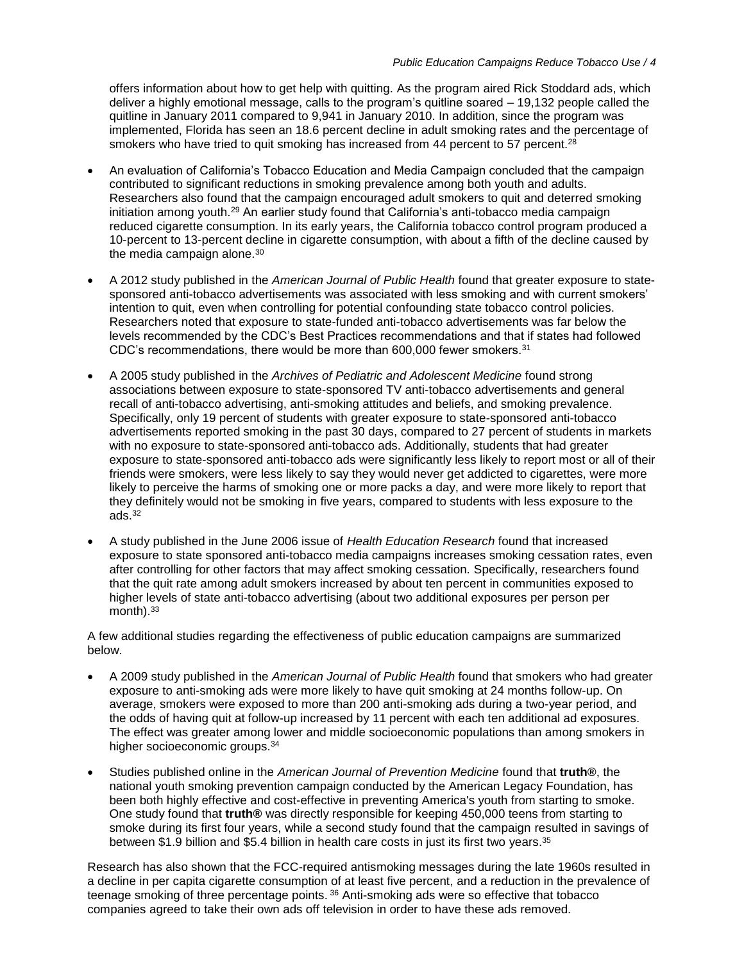offers information about how to get help with quitting. As the program aired Rick Stoddard ads, which deliver a highly emotional message, calls to the program's quitline soared – 19,132 people called the quitline in January 2011 compared to 9,941 in January 2010. In addition, since the program was implemented, Florida has seen an 18.6 percent decline in adult smoking rates and the percentage of smokers who have tried to quit smoking has increased from 44 percent to 57 percent.<sup>28</sup>

- An evaluation of California's Tobacco Education and Media Campaign concluded that the campaign contributed to significant reductions in smoking prevalence among both youth and adults. Researchers also found that the campaign encouraged adult smokers to quit and deterred smoking initiation among youth.<sup>29</sup> An earlier study found that California's anti-tobacco media campaign reduced cigarette consumption. In its early years, the California tobacco control program produced a 10-percent to 13-percent decline in cigarette consumption, with about a fifth of the decline caused by the media campaign alone.<sup>30</sup>
- A 2012 study published in the *American Journal of Public Health* found that greater exposure to statesponsored anti-tobacco advertisements was associated with less smoking and with current smokers' intention to quit, even when controlling for potential confounding state tobacco control policies. Researchers noted that exposure to state-funded anti-tobacco advertisements was far below the levels recommended by the CDC's Best Practices recommendations and that if states had followed CDC's recommendations, there would be more than 600,000 fewer smokers.<sup>31</sup>
- A 2005 study published in the *Archives of Pediatric and Adolescent Medicine* found strong associations between exposure to state-sponsored TV anti-tobacco advertisements and general recall of anti-tobacco advertising, anti-smoking attitudes and beliefs, and smoking prevalence. Specifically, only 19 percent of students with greater exposure to state-sponsored anti-tobacco advertisements reported smoking in the past 30 days, compared to 27 percent of students in markets with no exposure to state-sponsored anti-tobacco ads. Additionally, students that had greater exposure to state-sponsored anti-tobacco ads were significantly less likely to report most or all of their friends were smokers, were less likely to say they would never get addicted to cigarettes, were more likely to perceive the harms of smoking one or more packs a day, and were more likely to report that they definitely would not be smoking in five years, compared to students with less exposure to the ads. $32$
- A study published in the June 2006 issue of *Health Education Research* found that increased exposure to state sponsored anti-tobacco media campaigns increases smoking cessation rates, even after controlling for other factors that may affect smoking cessation. Specifically, researchers found that the quit rate among adult smokers increased by about ten percent in communities exposed to higher levels of state anti-tobacco advertising (about two additional exposures per person per  $month$ ).  $33$

A few additional studies regarding the effectiveness of public education campaigns are summarized below.

- A 2009 study published in the *American Journal of Public Health* found that smokers who had greater exposure to anti-smoking ads were more likely to have quit smoking at 24 months follow-up. On average, smokers were exposed to more than 200 anti-smoking ads during a two-year period, and the odds of having quit at follow-up increased by 11 percent with each ten additional ad exposures. The effect was greater among lower and middle socioeconomic populations than among smokers in higher socioeconomic groups.<sup>34</sup>
- Studies published online in the *American Journal of Prevention Medicine* found that **truth®**, the national youth smoking prevention campaign conducted by the American Legacy Foundation, has been both highly effective and cost-effective in preventing America's youth from starting to smoke. One study found that **truth®** was directly responsible for keeping 450,000 teens from starting to smoke during its first four years, while a second study found that the campaign resulted in savings of between \$1.9 billion and \$5.4 billion in health care costs in just its first two years. 35

Research has also shown that the FCC-required antismoking messages during the late 1960s resulted in a decline in per capita cigarette consumption of at least five percent, and a reduction in the prevalence of teenage smoking of three percentage points.<sup>36</sup> Anti-smoking ads were so effective that tobacco companies agreed to take their own ads off television in order to have these ads removed.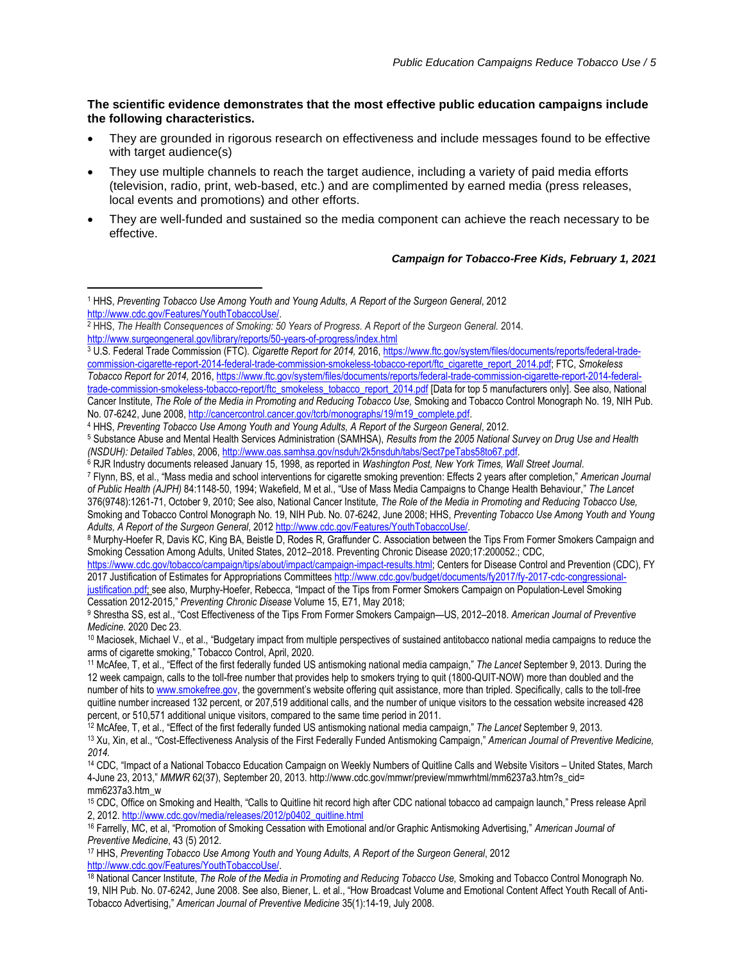## **The scientific evidence demonstrates that the most effective public education campaigns include the following characteristics.**

- They are grounded in rigorous research on effectiveness and include messages found to be effective with target audience(s)
- They use multiple channels to reach the target audience, including a variety of paid media efforts (television, radio, print, web-based, etc.) and are complimented by earned media (press releases, local events and promotions) and other efforts.
- They are well-funded and sustained so the media component can achieve the reach necessary to be effective.

## *Campaign for Tobacco-Free Kids, February 1, 2021*

 $\overline{a}$ 

No. 07-6242, June 2008[, http://cancercontrol.cancer.gov/tcrb/monographs/19/m19\\_complete.pdf.](http://cancercontrol.cancer.gov/tcrb/monographs/19/m19_complete.pdf) 

<sup>4</sup> HHS, *Preventing Tobacco Use Among Youth and Young Adults, A Report of the Surgeon General*, 2012.

*Adults, A Report of the Surgeon General*, 201[2 http://www.cdc.gov/Features/YouthTobaccoUse/.](http://www.cdc.gov/Features/YouthTobaccoUse/)

[https://www.cdc.gov/tobacco/campaign/tips/about/impact/campaign-impact-results.html;](https://www.cdc.gov/tobacco/campaign/tips/about/impact/campaign-impact-results.html) Centers for Disease Control and Prevention (CDC), FY 2017 Justification of Estimates for Appropriations Committee[s http://www.cdc.gov/budget/documents/fy2017/fy-2017-cdc-congressional-](http://www.cdc.gov/budget/documents/fy2017/fy-2017-cdc-congressional-justification.pdf)

[justification.pdf;](http://www.cdc.gov/budget/documents/fy2017/fy-2017-cdc-congressional-justification.pdf) see also, Murphy-Hoefer, Rebecca, "Impact of the Tips from Former Smokers Campaign on Population-Level Smoking Cessation 2012-2015," *Preventing Chronic Disease* Volume 15, E71, May 2018;

<sup>1</sup> HHS, *Preventing Tobacco Use Among Youth and Young Adults, A Report of the Surgeon General*, 2012 [http://www.cdc.gov/Features/YouthTobaccoUse/.](http://www.cdc.gov/Features/YouthTobaccoUse/) 

<sup>&</sup>lt;sup>2</sup> HHS, *The Health Consequences of Smoking: 50 Years of Progress. A Report of the Surgeon General. 2014.* 

<http://www.surgeongeneral.gov/library/reports/50-years-of-progress/index.html>

<sup>3</sup> U.S. Federal Trade Commission (FTC). *Cigarette Report for 2014,* 2016[, https://www.ftc.gov/system/files/documents/reports/federal-trade](https://www.ftc.gov/system/files/documents/reports/federal-trade-commission-cigarette-report-2014-federal-trade-commission-smokeless-tobacco-report/ftc_cigarette_report_2014.pdf)[commission-cigarette-report-2014-federal-trade-commission-smokeless-tobacco-report/ftc\\_cigarette\\_report\\_2014.pdf;](https://www.ftc.gov/system/files/documents/reports/federal-trade-commission-cigarette-report-2014-federal-trade-commission-smokeless-tobacco-report/ftc_cigarette_report_2014.pdf) FTC, *Smokeless Tobacco Report for 2014,* 2016, [https://www.ftc.gov/system/files/documents/reports/federal-trade-commission-cigarette-report-2014-federal](https://www.ftc.gov/system/files/documents/reports/federal-trade-commission-cigarette-report-2014-federal-trade-commission-smokeless-tobacco-report/ftc_smokeless_tobacco_report_2014.pdf)[trade-commission-smokeless-tobacco-report/ftc\\_smokeless\\_tobacco\\_report\\_2014.pdf](https://www.ftc.gov/system/files/documents/reports/federal-trade-commission-cigarette-report-2014-federal-trade-commission-smokeless-tobacco-report/ftc_smokeless_tobacco_report_2014.pdf) [Data for top 5 manufacturers only]. See also, National Cancer Institute, *The Role of the Media in Promoting and Reducing Tobacco Use,* Smoking and Tobacco Control Monograph No. 19, NIH Pub.

<sup>5</sup> Substance Abuse and Mental Health Services Administration (SAMHSA), *Results from the 2005 National Survey on Drug Use and Health (NSDUH): Detailed Tables*, 2006, [http://www.oas.samhsa.gov/nsduh/2k5nsduh/tabs/Sect7peTabs58to67.pdf.](http://www.oas.samhsa.gov/nsduh/2k5nsduh/tabs/Sect7peTabs58to67.pdf)

<sup>6</sup> RJR Industry documents released January 15, 1998, as reported in *Washington Post, New York Times, Wall Street Journal*.

<sup>7</sup> Flynn, BS, et al., "Mass media and school interventions for cigarette smoking prevention: Effects 2 years after completion," *American Journal of Public Health (AJPH)* 84:1148-50, 1994; Wakefield, M et al., "Use of Mass Media Campaigns to Change Health Behaviour," *The Lancet* 376(9748):1261-71, October 9, 2010; See also, National Cancer Institute, *The Role of the Media in Promoting and Reducing Tobacco Use,*  Smoking and Tobacco Control Monograph No. 19, NIH Pub. No. 07-6242, June 2008; HHS, *Preventing Tobacco Use Among Youth and Young* 

<sup>8</sup> Murphy-Hoefer R, Davis KC, King BA, Beistle D, Rodes R, Graffunder C. Association between the Tips From Former Smokers Campaign and Smoking Cessation Among Adults, United States, 2012–2018. Preventing Chronic Disease 2020;17:200052.; CDC,

<sup>9</sup> Shrestha SS, est al., "Cost Effectiveness of the Tips From Former Smokers Campaign—US, 2012–2018. *American Journal of Preventive Medicine*. 2020 Dec 23.

<sup>10</sup> Maciosek, Michael V., et al., "Budgetary impact from multiple perspectives of sustained antitobacco national media campaigns to reduce the arms of cigarette smoking," Tobacco Control, April, 2020.

<sup>11</sup> McAfee, T, et al., "Effect of the first federally funded US antismoking national media campaign," *The Lancet* September 9, 2013. During the 12 week campaign, calls to the toll-free number that provides help to smokers trying to quit (1800-QUIT-NOW) more than doubled and the number of hits to [www.smokefree.gov](http://www.smokefree.gov/), the government's website offering quit assistance, more than tripled. Specifically, calls to the toll-free quitline number increased 132 percent, or 207,519 additional calls, and the number of unique visitors to the cessation website increased 428 percent, or 510,571 additional unique visitors, compared to the same time period in 2011.

<sup>12</sup> McAfee, T, et al., "Effect of the first federally funded US antismoking national media campaign," *The Lancet* September 9, 2013. <sup>13</sup> Xu, Xin, et al., "Cost-Effectiveness Analysis of the First Federally Funded Antismoking Campaign," *American Journal of Preventive Medicine, 2014.*

<sup>14</sup> CDC, "Impact of a National Tobacco Education Campaign on Weekly Numbers of Quitline Calls and Website Visitors – United States, March 4-June 23, 2013," *MMWR* 62(37), September 20, 2013. http://www.cdc.gov/mmwr/preview/mmwrhtml/mm6237a3.htm?s\_cid= mm6237a3.htm\_w

<sup>15</sup> CDC, Office on Smoking and Health, "Calls to Quitline hit record high after CDC national tobacco ad campaign launch," Press release April 2, 2012[. http://www.cdc.gov/media/releases/2012/p0402\\_quitline.html](http://www.cdc.gov/media/releases/2012/p0402_quitline.html)

<sup>16</sup> Farrelly, MC, et al, "Promotion of Smoking Cessation with Emotional and/or Graphic Antismoking Advertising," *American Journal of Preventive Medicine*, 43 (5) 2012.

<sup>17</sup> HHS, *Preventing Tobacco Use Among Youth and Young Adults, A Report of the Surgeon General*, 2012 [http://www.cdc.gov/Features/YouthTobaccoUse/.](http://www.cdc.gov/Features/YouthTobaccoUse/) 

<sup>18</sup> National Cancer Institute, *The Role of the Media in Promoting and Reducing Tobacco Use*, Smoking and Tobacco Control Monograph No. 19, NIH Pub. No. 07-6242, June 2008. See also, Biener, L. et al., "How Broadcast Volume and Emotional Content Affect Youth Recall of Anti-Tobacco Advertising," *American Journal of Preventive Medicine* 35(1):14-19, July 2008.